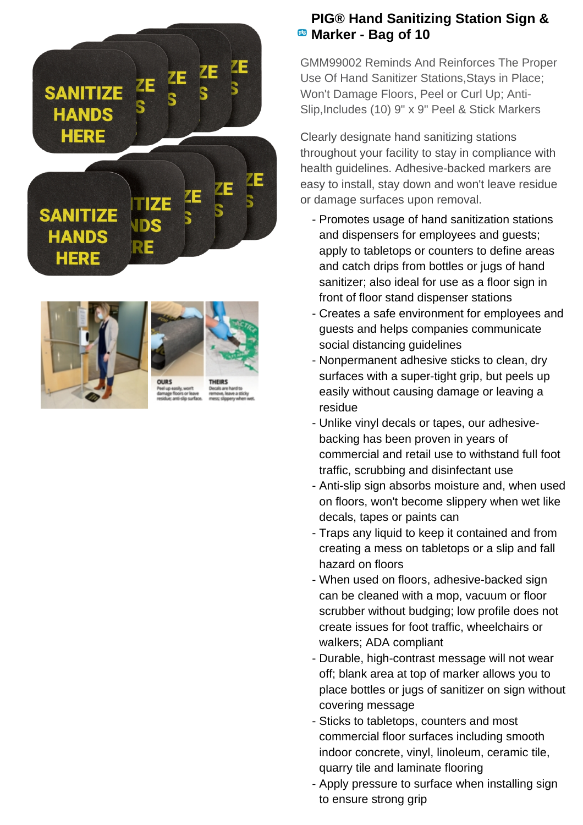





## **PIG® Hand Sanitizing Station Sign & EB** Marker - Bag of 10

GMM99002 Reminds And Reinforces The Proper Use Of Hand Sanitizer Stations,Stays in Place; Won't Damage Floors, Peel or Curl Up; Anti-Slip, Includes (10) 9" x 9" Peel & Stick Markers

Clearly designate hand sanitizing stations throughout your facility to stay in compliance with health guidelines. Adhesive-backed markers are easy to install, stay down and won't leave residue or damage surfaces upon removal.

- Promotes usage of hand sanitization stations and dispensers for employees and guests; apply to tabletops or counters to define areas and catch drips from bottles or jugs of hand sanitizer; also ideal for use as a floor sign in front of floor stand dispenser stations
- Creates a safe environment for employees and guests and helps companies communicate social distancing guidelines
- Nonpermanent adhesive sticks to clean, dry surfaces with a super-tight grip, but peels up easily without causing damage or leaving a residue
- Unlike vinyl decals or tapes, our adhesive- backing has been proven in years of commercial and retail use to withstand full foot traffic, scrubbing and disinfectant use
- Anti-slip sign absorbs moisture and, when used on floors, won't become slippery when wet like decals, tapes or paints can
- Traps any liquid to keep it contained and from creating a mess on tabletops or a slip and fall hazard on floors
- When used on floors, adhesive-backed sign can be cleaned with a mop, vacuum or floor scrubber without budging; low profile does not create issues for foot traffic, wheelchairs or walkers; ADA compliant
- Durable, high-contrast message will not wear off; blank area at top of marker allows you to place bottles or jugs of sanitizer on sign without covering message
- Sticks to tabletops, counters and most commercial floor surfaces including smooth indoor concrete, vinyl, linoleum, ceramic tile, quarry tile and laminate flooring
- Apply pressure to surface when installing sign to ensure strong grip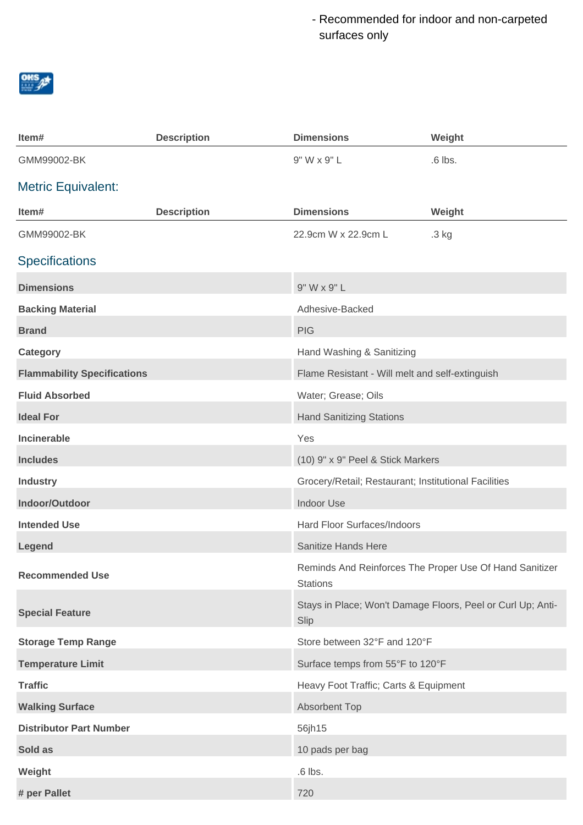Recommended for indoor and non-carpeted surfaces only



| Item#                              | <b>Description</b> | <b>Dimensions</b>                                    | Weight                                                      |
|------------------------------------|--------------------|------------------------------------------------------|-------------------------------------------------------------|
| GMM99002-BK                        |                    | 9" W x 9" L                                          | $.6$ lbs.                                                   |
| <b>Metric Equivalent:</b>          |                    |                                                      |                                                             |
| Item#                              | <b>Description</b> | <b>Dimensions</b>                                    | Weight                                                      |
| GMM99002-BK                        |                    | 22.9cm W x 22.9cm L                                  | .3 kg                                                       |
| <b>Specifications</b>              |                    |                                                      |                                                             |
| <b>Dimensions</b>                  |                    | 9" W x 9" L                                          |                                                             |
| <b>Backing Material</b>            |                    | Adhesive-Backed                                      |                                                             |
| <b>Brand</b>                       |                    | <b>PIG</b>                                           |                                                             |
| Category                           |                    | Hand Washing & Sanitizing                            |                                                             |
| <b>Flammability Specifications</b> |                    | Flame Resistant - Will melt and self-extinguish      |                                                             |
| <b>Fluid Absorbed</b>              |                    | Water; Grease; Oils                                  |                                                             |
| <b>Ideal For</b>                   |                    | <b>Hand Sanitizing Stations</b>                      |                                                             |
| Incinerable                        |                    | Yes                                                  |                                                             |
| <b>Includes</b>                    |                    | (10) 9" x 9" Peel & Stick Markers                    |                                                             |
| <b>Industry</b>                    |                    | Grocery/Retail; Restaurant; Institutional Facilities |                                                             |
| Indoor/Outdoor                     |                    | <b>Indoor Use</b>                                    |                                                             |
| <b>Intended Use</b>                |                    | Hard Floor Surfaces/Indoors                          |                                                             |
| Legend                             |                    | Sanitize Hands Here                                  |                                                             |
| <b>Recommended Use</b>             |                    | <b>Stations</b>                                      | Reminds And Reinforces The Proper Use Of Hand Sanitizer     |
| <b>Special Feature</b>             |                    | Slip                                                 | Stays in Place; Won't Damage Floors, Peel or Curl Up; Anti- |
| <b>Storage Temp Range</b>          |                    | Store between 32°F and 120°F                         |                                                             |
| <b>Temperature Limit</b>           |                    | Surface temps from 55°F to 120°F                     |                                                             |
| <b>Traffic</b>                     |                    | Heavy Foot Traffic; Carts & Equipment                |                                                             |
| <b>Walking Surface</b>             |                    | Absorbent Top                                        |                                                             |
| <b>Distributor Part Number</b>     |                    | 56jh15                                               |                                                             |
| Sold as                            |                    | 10 pads per bag                                      |                                                             |
| Weight                             |                    | $.6$ lbs.                                            |                                                             |
| # per Pallet                       |                    | 720                                                  |                                                             |